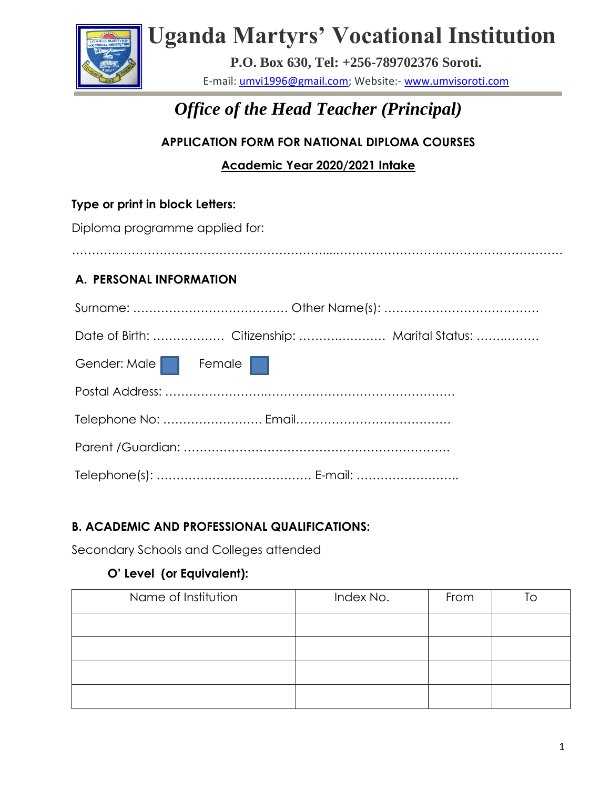

# **Uganda Martyrs' Vocational Institution**

**P.O. Box 630, Tel: +256-789702376 Soroti.** E-mail: [umvi1996@gmail.com;](mailto:umvi1996@gmail.com) Website:- [www.umvisoroti.com](http://www.umvisoroti.com/)

# *Office of the Head Teacher (Principal)*

## **APPLICATION FORM FOR NATIONAL DIPLOMA COURSES**

**Academic Year 2020/2021 Intake**

### **Type or print in block Letters:**

Diploma programme applied for:

### ………………………………………………………....…………………………………………………

### **A. PERSONAL INFORMATION**

| Gender: Male Female |  |
|---------------------|--|
|                     |  |
|                     |  |
|                     |  |
|                     |  |

### **B. ACADEMIC AND PROFESSIONAL QUALIFICATIONS:**

Secondary Schools and Colleges attended

### **O' Level (or Equivalent):**

| Name of Institution | Index No. | From | l ∩ |
|---------------------|-----------|------|-----|
|                     |           |      |     |
|                     |           |      |     |
|                     |           |      |     |
|                     |           |      |     |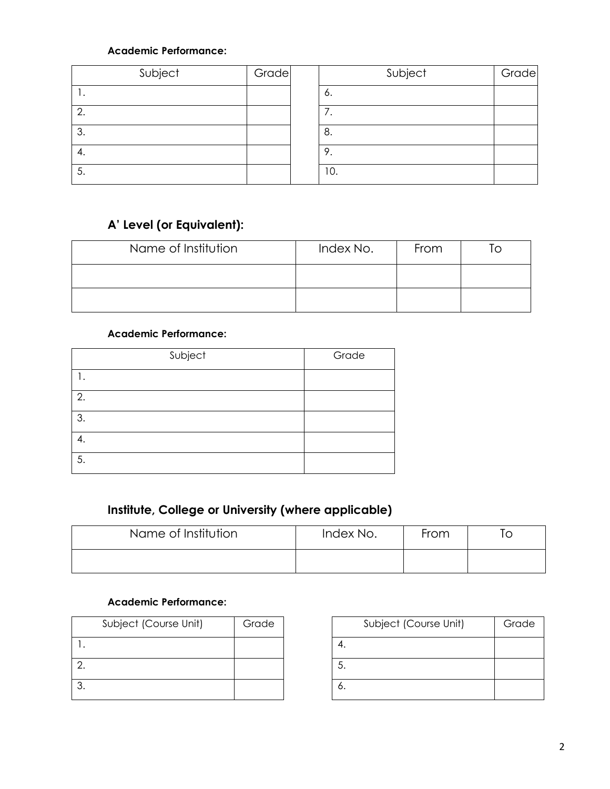### **Academic Performance:**

| Subject | Grade | Subject    | Grade |
|---------|-------|------------|-------|
| . .     |       | 6.         |       |
| ◠<br>z. |       | $\prime$ . |       |
| 3.      |       | 8.         |       |
| 4.      |       | 9.         |       |
| - 5.    |       | 10.        |       |

# **A' Level (or Equivalent):**

| Name of Institution | Index No. | From |  |
|---------------------|-----------|------|--|
|                     |           |      |  |
|                     |           |      |  |

#### **Academic Performance:**

| Subject | Grade |
|---------|-------|
|         |       |
| 2.      |       |
| 3.      |       |
|         |       |
| 5.      |       |

### **Institute, College or University (where applicable)**

| Name of Institution | Index No. | From |  |
|---------------------|-----------|------|--|
|                     |           |      |  |

### **Academic Performance:**

| Subject (Course Unit) | Grade |
|-----------------------|-------|
|                       |       |
|                       |       |
|                       |       |

|    | Subject (Course Unit) | Grade |
|----|-----------------------|-------|
|    |                       |       |
| 5. |                       |       |
|    |                       |       |